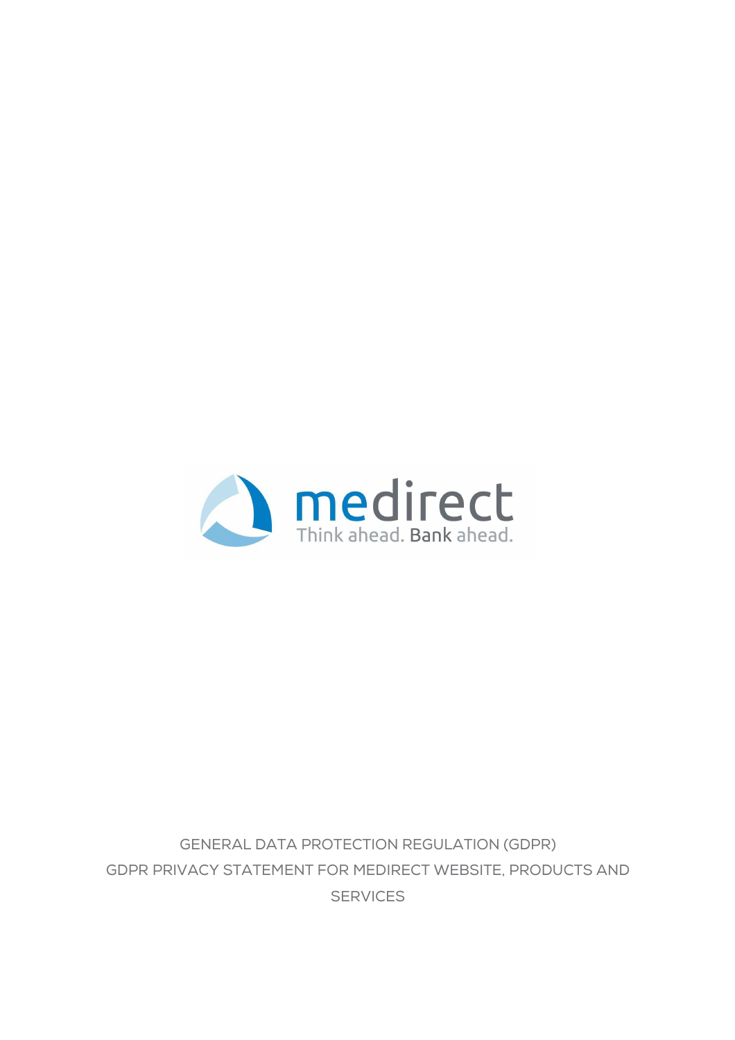

GENERAL DATA PROTECTION REGULATION (GDPR) GDPR PRIVACY STATEMENT FOR MEDIRECT WEBSITE, PRODUCTS AND **SERVICES**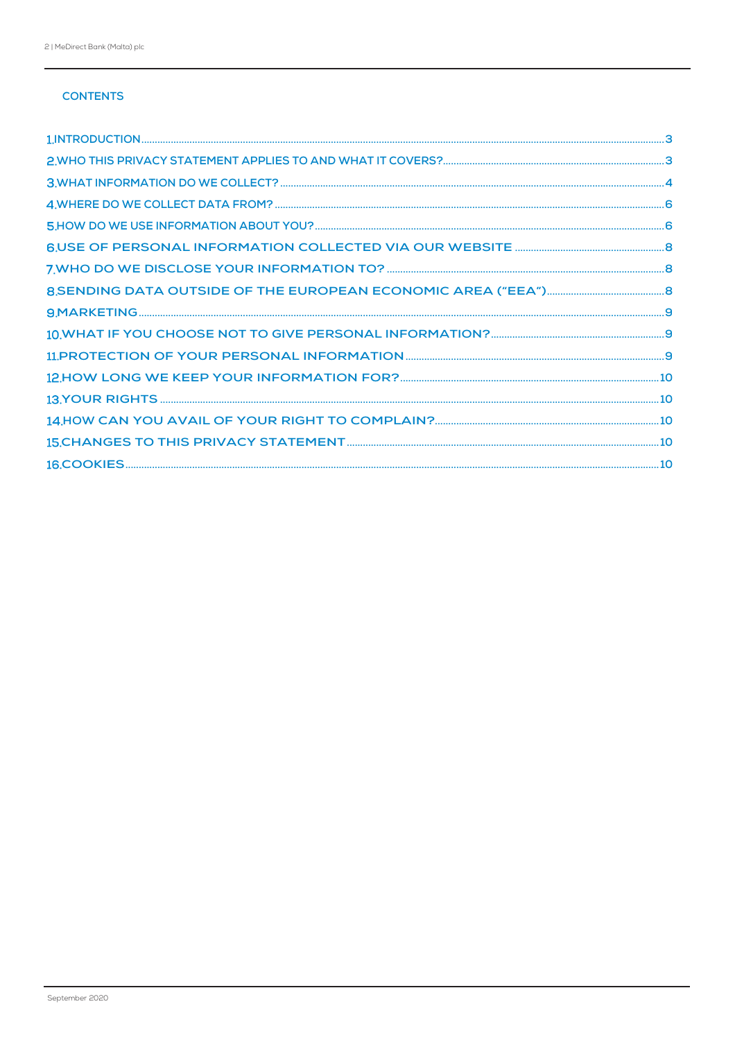# **CONTENTS**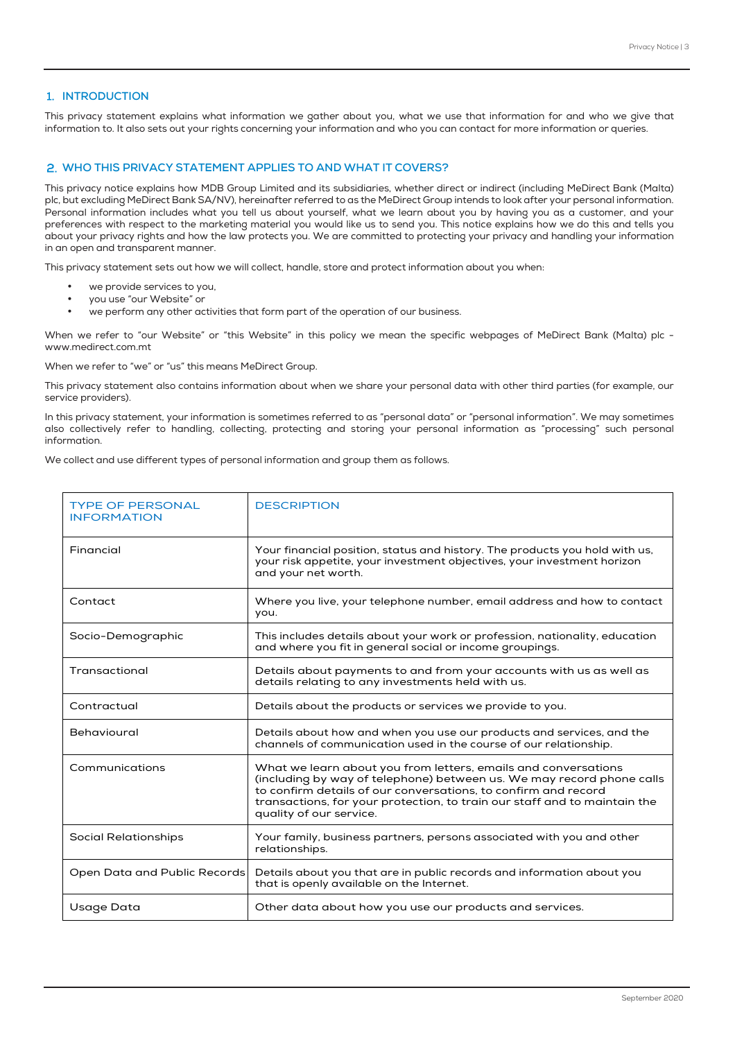## **1. INTRODUCTION**

This privacy statement explains what information we gather about you, what we use that information for and who we give that information to. It also sets out your rights concerning your information and who you can contact for more information or queries.

#### **WHO THIS PRIVACY STATEMENT APPLIES TO AND WHAT IT COVERS?**

This privacy notice explains how MDB Group Limited and its subsidiaries, whether direct or indirect (including MeDirect Bank (Malta) plc, but excluding MeDirect Bank SA/NV), hereinafter referred to as the MeDirect Group intends to look after your personal information. Personal information includes what you tell us about yourself, what we learn about you by having you as a customer, and your preferences with respect to the marketing material you would like us to send you. This notice explains how we do this and tells you about your privacy rights and how the law protects you. We are committed to protecting your privacy and handling your information in an open and transparent manner.

This privacy statement sets out how we will collect, handle, store and protect information about you when:

- we provide services to you,
- you use "our Website" or
- we perform any other activities that form part of the operation of our business.

When we refer to "our Website" or "this Website" in this policy we mean the specific webpages of MeDirect Bank (Malta) plc www.medirect.com.mt

When we refer to "we" or "us" this means MeDirect Group.

This privacy statement also contains information about when we share your personal data with other third parties (for example, our service providers).

In this privacy statement, your information is sometimes referred to as "personal data" or "personal information". We may sometimes also collectively refer to handling, collecting, protecting and storing your personal information as "processing" such personal information.

We collect and use different types of personal information and group them as follows.

| <b>TYPE OF PERSONAL</b><br><b>INFORMATION</b> | <b>DESCRIPTION</b>                                                                                                                                                                                                                                                                                                |
|-----------------------------------------------|-------------------------------------------------------------------------------------------------------------------------------------------------------------------------------------------------------------------------------------------------------------------------------------------------------------------|
| Financial                                     | Your financial position, status and history. The products you hold with us,<br>your risk appetite, your investment objectives, your investment horizon<br>and your net worth.                                                                                                                                     |
| Contact                                       | Where you live, your telephone number, email address and how to contact<br>you.                                                                                                                                                                                                                                   |
| Socio-Demographic                             | This includes details about your work or profession, nationality, education<br>and where you fit in general social or income groupings.                                                                                                                                                                           |
| Transactional                                 | Details about payments to and from your accounts with us as well as<br>details relating to any investments held with us.                                                                                                                                                                                          |
| Contractual                                   | Details about the products or services we provide to you.                                                                                                                                                                                                                                                         |
| Behavioural                                   | Details about how and when you use our products and services, and the<br>channels of communication used in the course of our relationship.                                                                                                                                                                        |
| Communications                                | What we learn about you from letters, emails and conversations<br>(including by way of telephone) between us. We may record phone calls<br>to confirm details of our conversations, to confirm and record<br>transactions, for your protection, to train our staff and to maintain the<br>quality of our service. |
| <b>Social Relationships</b>                   | Your family, business partners, persons associated with you and other<br>relationships.                                                                                                                                                                                                                           |
| Open Data and Public Records                  | Details about you that are in public records and information about you<br>that is openly available on the Internet.                                                                                                                                                                                               |
| Usage Data                                    | Other data about how you use our products and services.                                                                                                                                                                                                                                                           |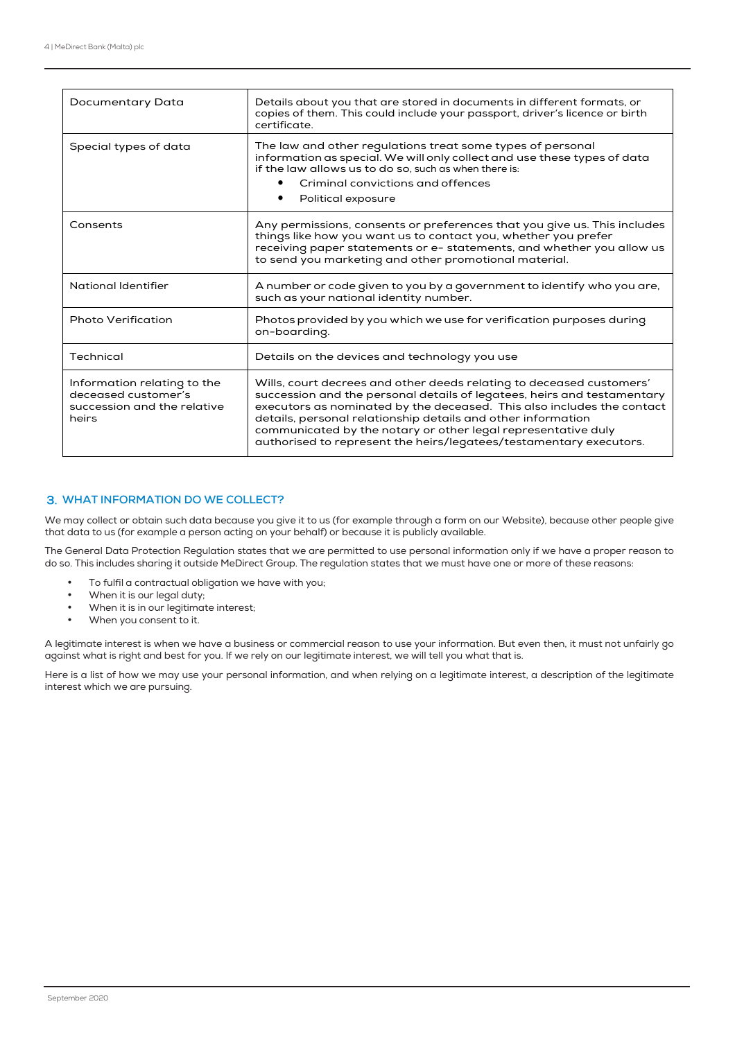| Documentary Data                                                                           | Details about you that are stored in documents in different formats, or<br>copies of them. This could include your passport, driver's licence or birth<br>certificate.                                                                                                                                                                                                                                                           |
|--------------------------------------------------------------------------------------------|----------------------------------------------------------------------------------------------------------------------------------------------------------------------------------------------------------------------------------------------------------------------------------------------------------------------------------------------------------------------------------------------------------------------------------|
| Special types of data                                                                      | The law and other regulations treat some types of personal<br>information as special. We will only collect and use these types of data<br>if the law allows us to do so, such as when there is:<br>Criminal convictions and offences<br>Political exposure                                                                                                                                                                       |
| Consents                                                                                   | Any permissions, consents or preferences that you give us. This includes<br>things like how you want us to contact you, whether you prefer<br>receiving paper statements or e- statements, and whether you allow us<br>to send you marketing and other promotional material.                                                                                                                                                     |
| National Identifier                                                                        | A number or code given to you by a government to identify who you are,<br>such as your national identity number.                                                                                                                                                                                                                                                                                                                 |
| <b>Photo Verification</b>                                                                  | Photos provided by you which we use for verification purposes during<br>on-boarding.                                                                                                                                                                                                                                                                                                                                             |
| Technical                                                                                  | Details on the devices and technology you use                                                                                                                                                                                                                                                                                                                                                                                    |
| Information relating to the<br>deceased customer's<br>succession and the relative<br>heirs | Wills, court decrees and other deeds relating to deceased customers'<br>succession and the personal details of legatees, heirs and testamentary<br>executors as nominated by the deceased. This also includes the contact<br>details, personal relationship details and other information<br>communicated by the notary or other legal representative duly<br>authorised to represent the heirs/legatees/testamentary executors. |

#### **WHAT INFORMATION DO WE COLLECT?**

We may collect or obtain such data because you give it to us (for example through a form on our Website), because other people give that data to us (for example a person acting on your behalf) or because it is publicly available.

The General Data Protection Regulation states that we are permitted to use personal information only if we have a proper reason to do so. This includes sharing it outside MeDirect Group. The regulation states that we must have one or more of these reasons:

- To fulfil a contractual obligation we have with you;
- When it is our legal duty;
- When it is in our legitimate interest;
- When you consent to it.

A legitimate interest is when we have a business or commercial reason to use your information. But even then, it must not unfairly go against what is right and best for you. If we rely on our legitimate interest, we will tell you what that is.

Here is a list of how we may use your personal information, and when relying on a legitimate interest, a description of the legitimate interest which we are pursuing.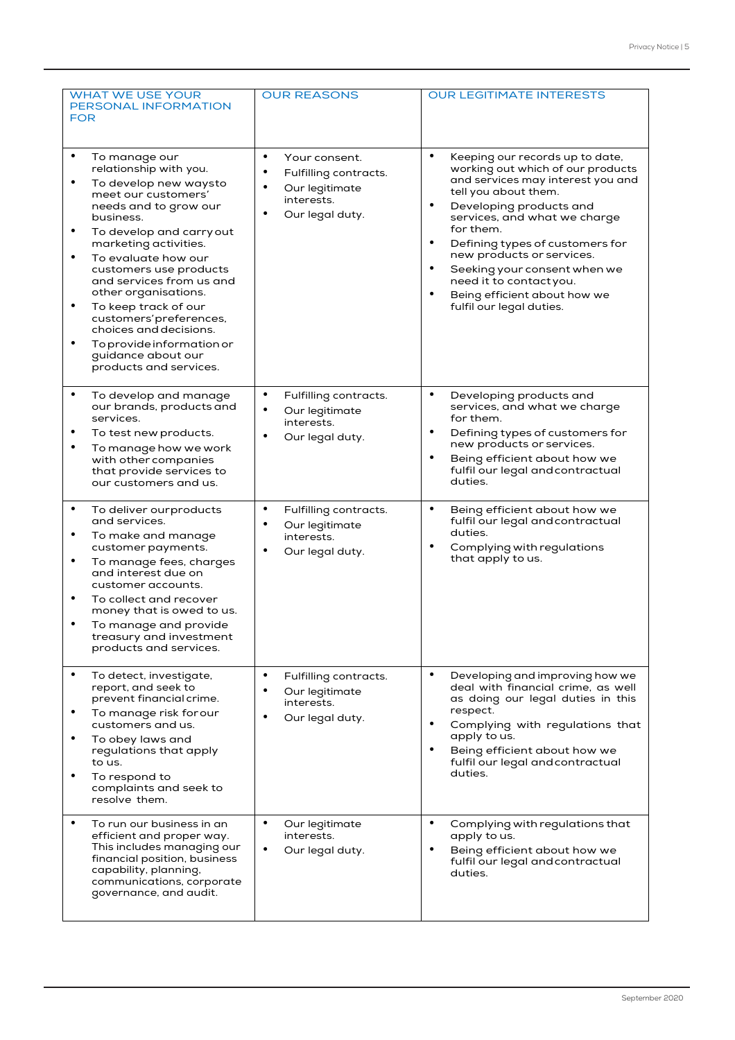| <b>WHAT WE USE YOUR</b><br>PERSONAL INFORMATION<br><b>FOR</b>                                                                                                                                                                                                                                                                                                                                                                                                                                   | <b>OUR REASONS</b>                                                                                                               | <b>OUR LEGITIMATE INTERESTS</b>                                                                                                                                                                                                                                                                                                                                                                                                |
|-------------------------------------------------------------------------------------------------------------------------------------------------------------------------------------------------------------------------------------------------------------------------------------------------------------------------------------------------------------------------------------------------------------------------------------------------------------------------------------------------|----------------------------------------------------------------------------------------------------------------------------------|--------------------------------------------------------------------------------------------------------------------------------------------------------------------------------------------------------------------------------------------------------------------------------------------------------------------------------------------------------------------------------------------------------------------------------|
| $\bullet$<br>To manage our<br>relationship with you.<br>To develop new waysto<br>٠<br>meet our customers'<br>needs and to grow our<br>business.<br>To develop and carry out<br>٠<br>marketing activities.<br>$\bullet$<br>To evaluate how our<br>customers use products<br>and services from us and<br>other organisations.<br>To keep track of our<br>٠<br>customers' preferences,<br>choices and decisions.<br>To provide information or<br>٠<br>guidance about our<br>products and services. | $\bullet$<br>Your consent.<br>$\bullet$<br>Fulfilling contracts.<br>Our legitimate<br>interests.<br>Our legal duty.<br>$\bullet$ | $\bullet$<br>Keeping our records up to date,<br>working out which of our products<br>and services may interest you and<br>tell you about them.<br>Developing products and<br>٠<br>services, and what we charge<br>for them.<br>Defining types of customers for<br>$\bullet$<br>new products or services.<br>Seeking your consent when we<br>need it to contactyou.<br>Being efficient about how we<br>fulfil our legal duties. |
| $\bullet$<br>To develop and manage<br>our brands, products and<br>services.<br>To test new products.<br>٠<br>To manage how we work<br>٠<br>with other companies<br>that provide services to<br>our customers and us.                                                                                                                                                                                                                                                                            | $\bullet$<br>Fulfilling contracts.<br>Our legitimate<br>$\bullet$<br>interests.<br>Our legal duty.<br>$\bullet$                  | $\bullet$<br>Developing products and<br>services, and what we charge<br>for them.<br>Defining types of customers for<br>new products or services.<br>Being efficient about how we<br>fulfil our legal and contractual<br>duties.                                                                                                                                                                                               |
| $\bullet$<br>To deliver ourproducts<br>and services.<br>To make and manage<br>٠<br>customer payments.<br>$\bullet$<br>To manage fees, charges<br>and interest due on<br>customer accounts.<br>To collect and recover<br>$\bullet$<br>money that is owed to us.<br>To manage and provide<br>treasury and investment<br>products and services.                                                                                                                                                    | $\bullet$<br>Fulfilling contracts.<br>Our legitimate<br>٠<br>interests.<br>Our legal duty.<br>$\bullet$                          | $\bullet$<br>Being efficient about how we<br>fulfil our legal and contractual<br>duties.<br>Complying with regulations<br>that apply to us.                                                                                                                                                                                                                                                                                    |
| $\bullet$<br>To detect, investigate,<br>report, and seek to<br>prevent financial crime.<br>To manage risk for our<br>٠<br>customers and us.<br>To obey laws and<br>٠<br>regulations that apply<br>to us.<br>$\bullet$<br>To respond to<br>complaints and seek to<br>resolve them.                                                                                                                                                                                                               | $\bullet$<br>Fulfilling contracts.<br>Our legitimate<br>interests.<br>Our legal duty.                                            | $\bullet$<br>Developing and improving how we<br>deal with financial crime, as well<br>as doing our legal duties in this<br>respect.<br>Complying with regulations that<br>apply to us.<br>Being efficient about how we<br>fulfil our legal and contractual<br>duties.                                                                                                                                                          |
| To run our business in an<br>$\bullet$<br>efficient and proper way.<br>This includes managing our<br>financial position, business<br>capability, planning,<br>communications, corporate<br>governance, and audit.                                                                                                                                                                                                                                                                               | $\bullet$<br>Our legitimate<br>interests.<br>Our legal duty.<br>٠                                                                | Complying with regulations that<br>٠<br>apply to us.<br>Being efficient about how we<br>٠<br>fulfil our legal and contractual<br>duties.                                                                                                                                                                                                                                                                                       |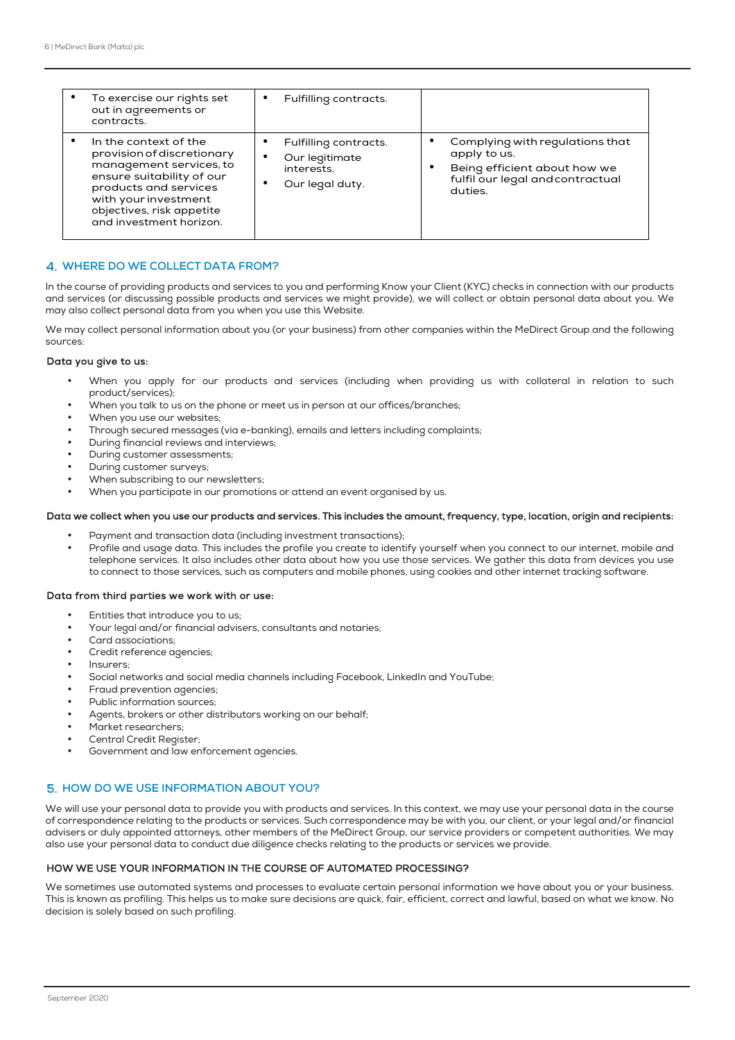| To exercise our rights set<br>out in agreements or<br>contracts.                                                                                                                                                     | Fulfilling contracts.<br>٠                                                         |                                                                                                                                |
|----------------------------------------------------------------------------------------------------------------------------------------------------------------------------------------------------------------------|------------------------------------------------------------------------------------|--------------------------------------------------------------------------------------------------------------------------------|
| In the context of the<br>provision of discretionary<br>management services, to<br>ensure suitability of our<br>products and services<br>with your investment<br>objectives, risk appetite<br>and investment horizon. | Fulfilling contracts.<br>Our legitimate<br>٠<br>interests.<br>Our legal duty.<br>٠ | Complying with regulations that<br>apply to us.<br>Being efficient about how we<br>fulfil our legal and contractual<br>duties. |

#### **WHERE DO WE COLLECT DATA FROM?**

In the course of providing products and services to you and performing Know your Client (KYC) checks in connection with our products and services (or discussing possible products and services we might provide), we will collect or obtain personal data about you. We may also collect personal data from you when you use this Website.

We may collect personal information about you (or your business) from other companies within the MeDirect Group and the following sources:

#### Data you give to us:

- When you apply for our products and services (including when providing us with collateral in relation to such product/services);
- When you talk to us on the phone or meet us in person at our offices/branches;
- When you use our websites:
- Through secured messages (via e-banking), emails and letters including complaints;
- During financial reviews and interviews;
- During customer assessments;
- During customer surveys;
- When subscribing to our newsletters;
- When you participate in our promotions or attend an event organised by us.

#### Data we collect when you use our products and services. This includes the amount, frequency, type, location, origin and recipients:

- Payment and transaction data (including investment transactions);
- Profile and usage data. This includes the profile you create to identify yourself when you connect to our internet, mobile and telephone services. It also includes other data about how you use those services. We gather this data from devices you use to connect to those services, such as computers and mobile phones, using cookies and other internet tracking software.

#### Data from third parties we work with or use:

- Entities that introduce you to us;
- Your legal and/or financial advisers, consultants and notaries;
- Card associations;
- Credit reference agencies;
- Insurers;
- Social networks and social media channels including Facebook, LinkedIn and YouTube;
- Fraud prevention agencies;
- Public information sources;
- Agents, brokers or other distributors working on our behalf;
- Market researchers;
- Central Credit Register:
- Government and law enforcement agencies.

## **HOW DO WE USE INFORMATION ABOUT YOU?**

We will use your personal data to provide you with products and services. In this context, we may use your personal data in the course of correspondence relating to the products or services. Such correspondence may be with you, our client, or your legal and/or financial advisers or duly appointed attorneys, other members of the MeDirect Group, our service providers or competent authorities. We may also use your personal data to conduct due diligence checks relating to the products or services we provide.

## HOW WE USE YOUR INFORMATION IN THE COURSE OF AUTOMATED PROCESSING?

We sometimes use automated systems and processes to evaluate certain personal information we have about you or your business. This is known as profiling. This helps us to make sure decisions are quick, fair, efficient, correct and lawful, based on what we know. No decision is solely based on such profiling.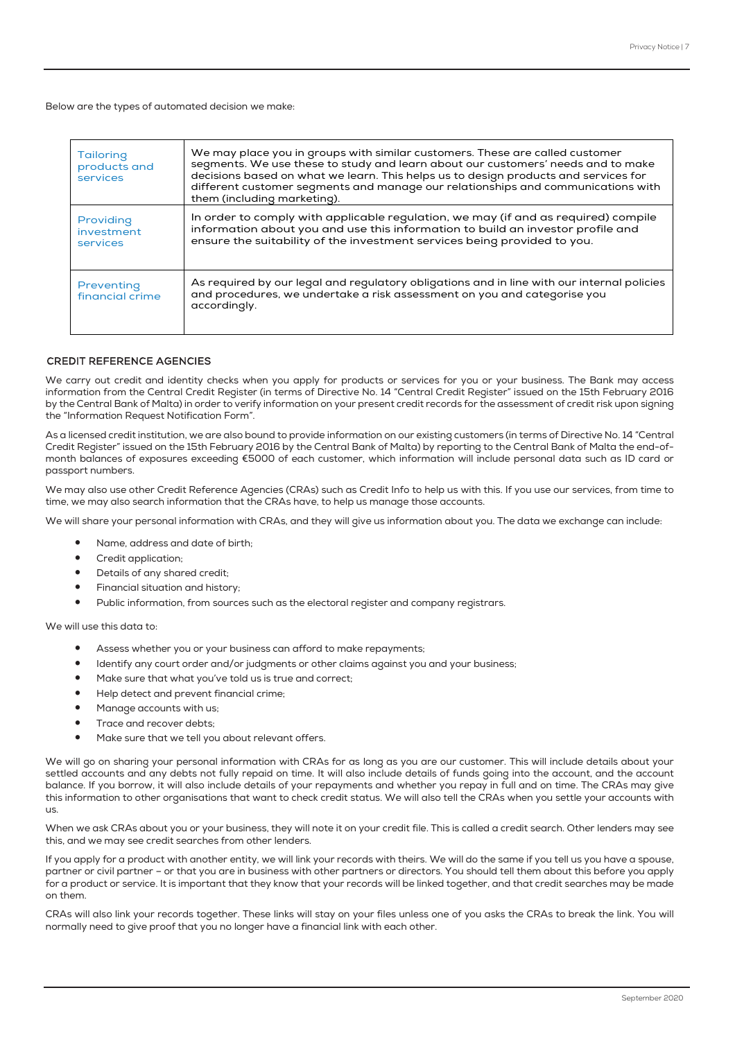Below are the types of automated decision we make:

| <b>Tailoring</b><br>products and    | We may place you in groups with similar customers. These are called customer<br>segments. We use these to study and learn about our customers' needs and to make                                                                                  |
|-------------------------------------|---------------------------------------------------------------------------------------------------------------------------------------------------------------------------------------------------------------------------------------------------|
| services                            | decisions based on what we learn. This helps us to design products and services for<br>different customer segments and manage our relationships and communications with                                                                           |
|                                     | them (including marketing).                                                                                                                                                                                                                       |
| Providing<br>investment<br>services | In order to comply with applicable regulation, we may (if and as required) compile<br>information about you and use this information to build an investor profile and<br>ensure the suitability of the investment services being provided to you. |
| Preventing<br>financial crime       | As required by our legal and regulatory obligations and in line with our internal policies<br>and procedures, we undertake a risk assessment on you and categorise you<br>accordingly.                                                            |

#### CREDIT REFERENCE AGENCIES

We carry out credit and identity checks when you apply for products or services for you or your business. The Bank may access information from the Central Credit Register (in terms of Directive No. 14 "Central Credit Register" issued on the 15th February 2016 by the Central Bank of Malta) in order to verify information on your present credit records for the assessment of credit risk upon signing the "Information Request Notification Form".

As a licensed credit institution, we are also bound to provide information on our existing customers (in terms of Directive No. 14 "Central Credit Register" issued on the 15th February 2016 by the Central Bank of Malta) by reporting to the Central Bank of Malta the end-ofmonth balances of exposures exceeding €5000 of each customer, which information will include personal data such as ID card or passport numbers.

We may also use other Credit Reference Agencies (CRAs) such as Credit Info to help us with this. If you use our services, from time to time, we may also search information that the CRAs have, to help us manage those accounts.

We will share your personal information with CRAs, and they will give us information about you. The data we exchange can include:

- Name, address and date of birth;
- Credit application;
- Details of any shared credit;
- Financial situation and history;
- Public information, from sources such as the electoral register and company registrars.

We will use this data to:

- Assess whether you or your business can afford to make repayments;
- Identify any court order and/or judgments or other claims against you and your business;
- Make sure that what you've told us is true and correct;
- Help detect and prevent financial crime;
- Manage accounts with us;
- Trace and recover debts:
- Make sure that we tell you about relevant offers.

We will go on sharing your personal information with CRAs for as long as you are our customer. This will include details about your settled accounts and any debts not fully repaid on time. It will also include details of funds going into the account, and the account balance. If you borrow, it will also include details of your repayments and whether you repay in full and on time. The CRAs may give this information to other organisations that want to check credit status. We will also tell the CRAs when you settle your accounts with us.

When we ask CRAs about you or your business, they will note it on your credit file. This is called a credit search. Other lenders may see this, and we may see credit searches from other lenders.

If you apply for a product with another entity, we will link your records with theirs. We will do the same if you tell us you have a spouse, partner or civil partner – or that you are in business with other partners or directors. You should tell them about this before you apply for a product or service. It is important that they know that your records will be linked together, and that credit searches may be made on them.

CRAs will also link your records together. These links will stay on your files unless one of you asks the CRAs to break the link. You will normally need to give proof that you no longer have a financial link with each other.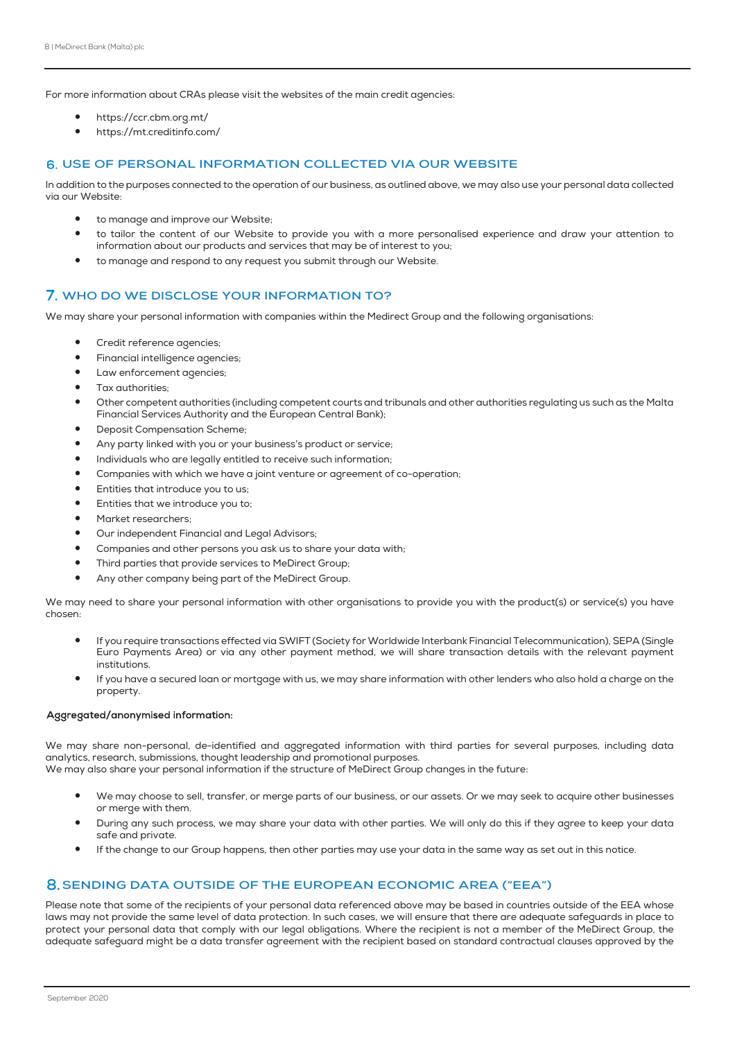For more information about CRAs please visit the websites of the main credit agencies:

- https://ccr.cbm.org.mt/
- https://mt.creditinfo.com/

#### **USE OF PERSONAL INFORMATION COLLECTED VIA OUR WEBSITE**

In addition to the purposes connected to the operation of our business, as outlined above, we may also use your personal data collected via our Website:

- to manage and improve our Website:
- to tailor the content of our Website to provide you with a more personalised experience and draw your attention to information about our products and services that may be of interest to you;
- to manage and respond to any request you submit through our Website.

## **7. WHO DO WE DISCLOSE YOUR INFORMATION TO?**

We may share your personal information with companies within the Medirect Group and the following organisations:

- Credit reference agencies;
- Financial intelligence agencies;
- Law enforcement agencies;
- Tax authorities;
- Other competent authorities (including competent courts and tribunals and other authorities regulating us such as the Malta Financial Services Authority and the European Central Bank);
- Deposit Compensation Scheme;
- Any party linked with you or your business's product or service;
- Individuals who are legally entitled to receive such information;
- Companies with which we have a joint venture or agreement of co-operation;
- Entities that introduce you to us;
- Entities that we introduce you to;
- Market researchers;
- Our independent Financial and Legal Advisors;
- Companies and other persons you ask us to share your data with;
- Third parties that provide services to MeDirect Group;
- Any other company being part of the MeDirect Group.

We may need to share your personal information with other organisations to provide you with the product(s) or service(s) you have chosen:

- If you require transactions effected via SWIFT (Society for Worldwide Interbank Financial Telecommunication), SEPA (Single Euro Payments Area) or via any other payment method, we will share transaction details with the relevant payment institutions.
- If you have a secured loan or mortgage with us, we may share information with other lenders who also hold a charge on the property.

#### Aggregated/anonymised information:

We may share non-personal, de-identified and aggregated information with third parties for several purposes, including data analytics, research, submissions, thought leadership and promotional purposes.

We may also share your personal information if the structure of MeDirect Group changes in the future:

- We may choose to sell, transfer, or merge parts of our business, or our assets. Or we may seek to acquire other businesses or merge with them.
- During any such process, we may share your data with other parties. We will only do this if they agree to keep your data safe and private.
- If the change to our Group happens, then other parties may use your data in the same way as set out in this notice.

# **SENDING DATA OUTSIDE OF THE EUROPEAN ECONOMIC AREA ("EEA")**

Please note that some of the recipients of your personal data referenced above may be based in countries outside of the EEA whose laws may not provide the same level of data protection. In such cases, we will ensure that there are adequate safeguards in place to protect your personal data that comply with our legal obligations. Where the recipient is not a member of the MeDirect Group, the adequate safeguard might be a data transfer agreement with the recipient based on standard contractual clauses approved by the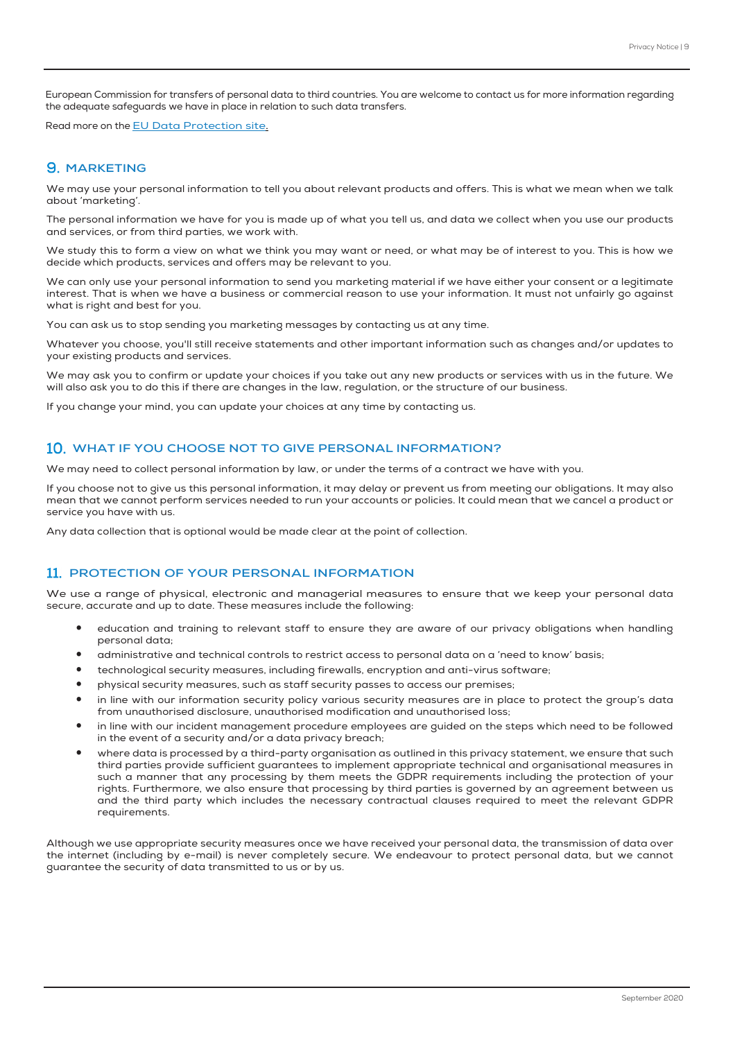European Commission for transfers of personal data to third countries. You are welcome to contact us for more information regarding the adequate safeguards we have in place in relation to such data transfers.

Read more on the EU Data Protection site.

# **9. MARKETING**

We may use your personal information to tell you about relevant products and offers. This is what we mean when we talk about 'marketing'.

The personal information we have for you is made up of what you tell us, and data we collect when you use our products and services, or from third parties, we work with.

We study this to form a view on what we think you may want or need, or what may be of interest to you. This is how we decide which products, services and offers may be relevant to you.

We can only use your personal information to send you marketing material if we have either your consent or a legitimate interest. That is when we have a business or commercial reason to use your information. It must not unfairly go against what is right and best for you.

You can ask us to stop sending you marketing messages by contacting us at any time.

Whatever you choose, you'll still receive statements and other important information such as changes and/or updates to your existing products and services.

We may ask you to confirm or update your choices if you take out any new products or services with us in the future. We will also ask you to do this if there are changes in the law, regulation, or the structure of our business.

If you change your mind, you can update your choices at any time by contacting us.

## **WHAT IF YOU CHOOSE NOT TO GIVE PERSONAL INFORMATION?**

We may need to collect personal information by law, or under the terms of a contract we have with you.

If you choose not to give us this personal information, it may delay or prevent us from meeting our obligations. It may also mean that we cannot perform services needed to run your accounts or policies. It could mean that we cancel a product or service you have with us.

Any data collection that is optional would be made clear at the point of collection.

## **11. PROTECTION OF YOUR PERSONAL INFORMATION**

We use a range of physical, electronic and managerial measures to ensure that we keep your personal data secure, accurate and up to date. These measures include the following:

- education and training to relevant staff to ensure they are aware of our privacy obligations when handling personal data;
- administrative and technical controls to restrict access to personal data on a 'need to know' basis;
- technological security measures, including firewalls, encryption and anti-virus software;
- physical security measures, such as staff security passes to access our premises;
- in line with our information security policy various security measures are in place to protect the group's data from unauthorised disclosure, unauthorised modification and unauthorised loss;
- in line with our incident management procedure employees are guided on the steps which need to be followed in the event of a security and/or a data privacy breach;
- where data is processed by a third-party organisation as outlined in this privacy statement, we ensure that such third parties provide sufficient guarantees to implement appropriate technical and organisational measures in such a manner that any processing by them meets the GDPR requirements including the protection of your rights. Furthermore, we also ensure that processing by third parties is governed by an agreement between us and the third party which includes the necessary contractual clauses required to meet the relevant GDPR requirements.

Although we use appropriate security measures once we have received your personal data, the transmission of data over the internet (including by e-mail) is never completely secure. We endeavour to protect personal data, but we cannot guarantee the security of data transmitted to us or by us.